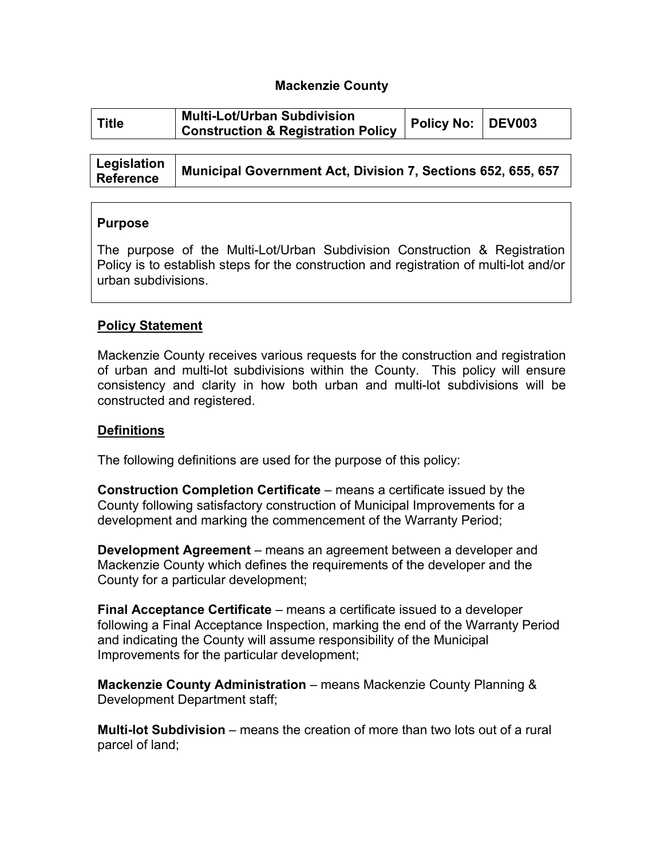### **Mackenzie County**

| <b>Title</b> | <b>Multi-Lot/Urban Subdivision</b> | Policy No: DEV003 |  |
|--------------|------------------------------------|-------------------|--|
|              | Construction & Registration Policy |                   |  |

| Legislation<br><b>Reference</b> | Municipal Government Act, Division 7, Sections 652, 655, 657 |
|---------------------------------|--------------------------------------------------------------|
|---------------------------------|--------------------------------------------------------------|

### **Purpose**

The purpose of the Multi-Lot/Urban Subdivision Construction & Registration Policy is to establish steps for the construction and registration of multi-lot and/or urban subdivisions.

### **Policy Statement**

Mackenzie County receives various requests for the construction and registration of urban and multi-lot subdivisions within the County. This policy will ensure consistency and clarity in how both urban and multi-lot subdivisions will be constructed and registered.

#### **Definitions**

The following definitions are used for the purpose of this policy:

**Construction Completion Certificate** – means a certificate issued by the County following satisfactory construction of Municipal Improvements for a development and marking the commencement of the Warranty Period;

**Development Agreement** – means an agreement between a developer and Mackenzie County which defines the requirements of the developer and the County for a particular development;

**Final Acceptance Certificate** – means a certificate issued to a developer following a Final Acceptance Inspection, marking the end of the Warranty Period and indicating the County will assume responsibility of the Municipal Improvements for the particular development;

**Mackenzie County Administration** – means Mackenzie County Planning & Development Department staff;

**Multi-lot Subdivision** – means the creation of more than two lots out of a rural parcel of land;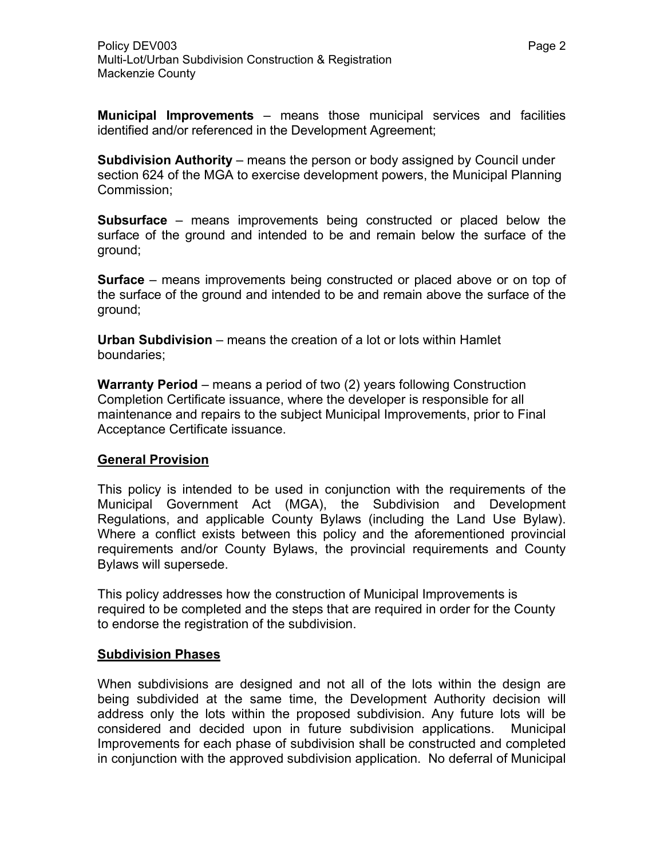**Municipal Improvements** – means those municipal services and facilities identified and/or referenced in the Development Agreement;

**Subdivision Authority** – means the person or body assigned by Council under section 624 of the MGA to exercise development powers, the Municipal Planning Commission;

**Subsurface** – means improvements being constructed or placed below the surface of the ground and intended to be and remain below the surface of the ground;

**Surface** – means improvements being constructed or placed above or on top of the surface of the ground and intended to be and remain above the surface of the ground;

**Urban Subdivision** – means the creation of a lot or lots within Hamlet boundaries;

**Warranty Period** – means a period of two (2) years following Construction Completion Certificate issuance, where the developer is responsible for all maintenance and repairs to the subject Municipal Improvements, prior to Final Acceptance Certificate issuance.

## **General Provision**

This policy is intended to be used in conjunction with the requirements of the Municipal Government Act (MGA), the Subdivision and Development Regulations, and applicable County Bylaws (including the Land Use Bylaw). Where a conflict exists between this policy and the aforementioned provincial requirements and/or County Bylaws, the provincial requirements and County Bylaws will supersede.

This policy addresses how the construction of Municipal Improvements is required to be completed and the steps that are required in order for the County to endorse the registration of the subdivision.

## **Subdivision Phases**

When subdivisions are designed and not all of the lots within the design are being subdivided at the same time, the Development Authority decision will address only the lots within the proposed subdivision. Any future lots will be considered and decided upon in future subdivision applications. Municipal Improvements for each phase of subdivision shall be constructed and completed in conjunction with the approved subdivision application. No deferral of Municipal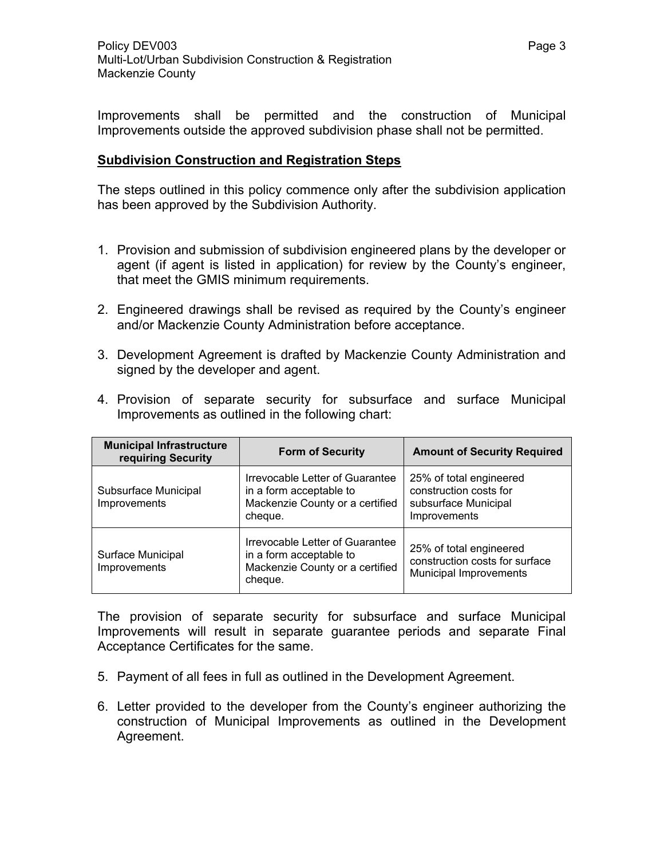Improvements shall be permitted and the construction of Municipal Improvements outside the approved subdivision phase shall not be permitted.

# **Subdivision Construction and Registration Steps**

The steps outlined in this policy commence only after the subdivision application has been approved by the Subdivision Authority.

- 1. Provision and submission of subdivision engineered plans by the developer or agent (if agent is listed in application) for review by the County's engineer, that meet the GMIS minimum requirements.
- 2. Engineered drawings shall be revised as required by the County's engineer and/or Mackenzie County Administration before acceptance.
- 3. Development Agreement is drafted by Mackenzie County Administration and signed by the developer and agent.

| <b>Municipal Infrastructure</b><br>requiring Security | <b>Form of Security</b>                                                                                  | <b>Amount of Security Required</b>                                                        |
|-------------------------------------------------------|----------------------------------------------------------------------------------------------------------|-------------------------------------------------------------------------------------------|
| Subsurface Municipal<br>Improvements                  | Irrevocable Letter of Guarantee<br>in a form acceptable to<br>Mackenzie County or a certified<br>cheque. | 25% of total engineered<br>construction costs for<br>subsurface Municipal<br>Improvements |
| Surface Municipal<br>Improvements                     | Irrevocable Letter of Guarantee<br>in a form acceptable to<br>Mackenzie County or a certified<br>cheque. | 25% of total engineered<br>construction costs for surface<br>Municipal Improvements       |

4. Provision of separate security for subsurface and surface Municipal Improvements as outlined in the following chart:

The provision of separate security for subsurface and surface Municipal Improvements will result in separate guarantee periods and separate Final Acceptance Certificates for the same.

- 5. Payment of all fees in full as outlined in the Development Agreement.
- 6. Letter provided to the developer from the County's engineer authorizing the construction of Municipal Improvements as outlined in the Development Agreement.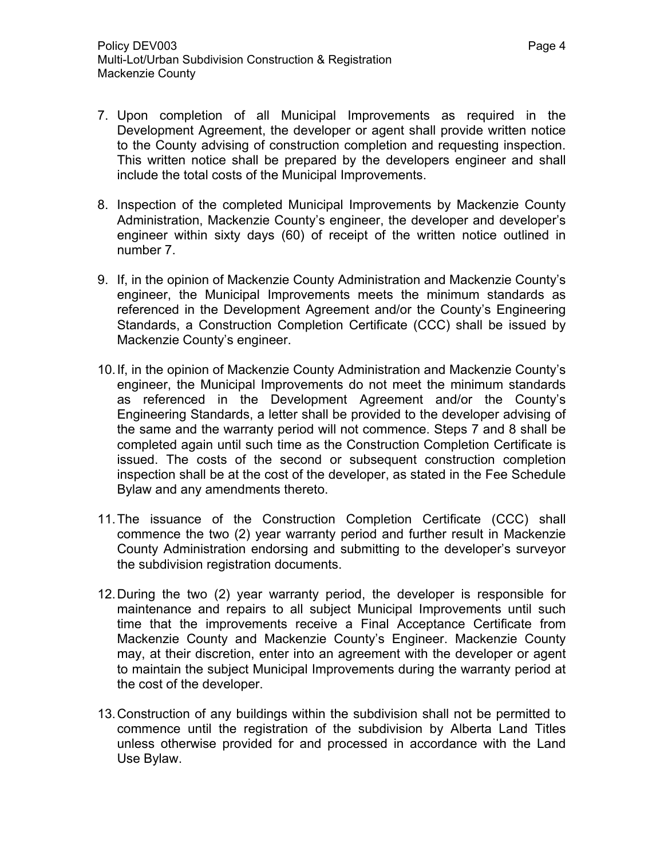- 7. Upon completion of all Municipal Improvements as required in the Development Agreement, the developer or agent shall provide written notice to the County advising of construction completion and requesting inspection. This written notice shall be prepared by the developers engineer and shall include the total costs of the Municipal Improvements.
- 8. Inspection of the completed Municipal Improvements by Mackenzie County Administration, Mackenzie County's engineer, the developer and developer's engineer within sixty days (60) of receipt of the written notice outlined in number 7.
- 9. If, in the opinion of Mackenzie County Administration and Mackenzie County's engineer, the Municipal Improvements meets the minimum standards as referenced in the Development Agreement and/or the County's Engineering Standards, a Construction Completion Certificate (CCC) shall be issued by Mackenzie County's engineer.
- 10. If, in the opinion of Mackenzie County Administration and Mackenzie County's engineer, the Municipal Improvements do not meet the minimum standards as referenced in the Development Agreement and/or the County's Engineering Standards, a letter shall be provided to the developer advising of the same and the warranty period will not commence. Steps 7 and 8 shall be completed again until such time as the Construction Completion Certificate is issued. The costs of the second or subsequent construction completion inspection shall be at the cost of the developer, as stated in the Fee Schedule Bylaw and any amendments thereto.
- 11. The issuance of the Construction Completion Certificate (CCC) shall commence the two (2) year warranty period and further result in Mackenzie County Administration endorsing and submitting to the developer's surveyor the subdivision registration documents.
- 12. During the two (2) year warranty period, the developer is responsible for maintenance and repairs to all subject Municipal Improvements until such time that the improvements receive a Final Acceptance Certificate from Mackenzie County and Mackenzie County's Engineer. Mackenzie County may, at their discretion, enter into an agreement with the developer or agent to maintain the subject Municipal Improvements during the warranty period at the cost of the developer.
- 13. Construction of any buildings within the subdivision shall not be permitted to commence until the registration of the subdivision by Alberta Land Titles unless otherwise provided for and processed in accordance with the Land Use Bylaw.